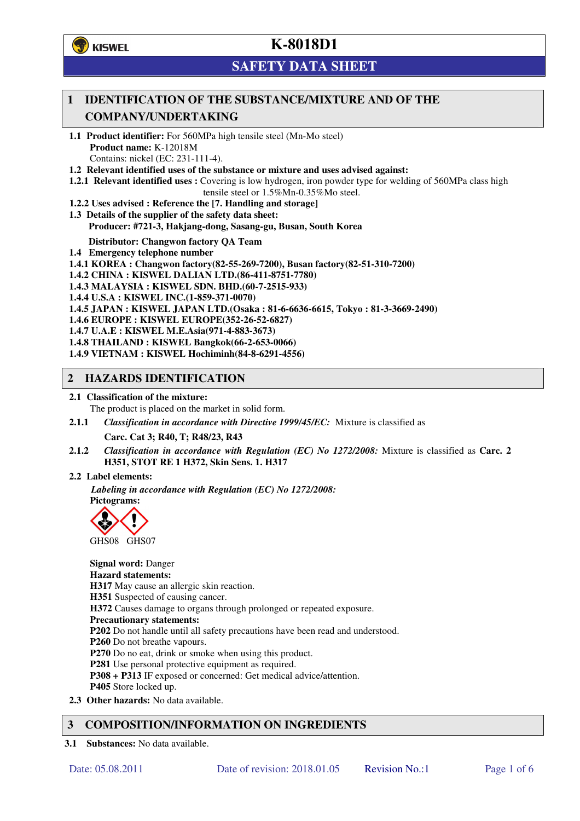**学**)KISWEL

# **K-8018D1**

# **SAFETY DATA SHEET**

## **1 IDENTIFICATION OF THE SUBSTANCE/MIXTURE AND OF THE COMPANY/UNDERTAKING**

- **1.1 Product identifier:** For 560MPa high tensile steel (Mn-Mo steel) **Product name:** K-12018M Contains: nickel (EC: 231-111-4).
- **1.2 Relevant identified uses of the substance or mixture and uses advised against:**
- **1.2.1 Relevant identified uses :** Covering is low hydrogen, iron powder type for welding of 560MPa class high tensile steel or 1.5%Mn-0.35%Mo steel.
- **1.2.2 Uses advised : Reference the [7. Handling and storage]**
- **1.3 Details of the supplier of the safety data sheet: Producer: #721-3, Hakjang-dong, Sasang-gu, Busan, South Korea**

**Distributor: Changwon factory QA Team** 

- **1.4 Emergency telephone number**
- **1.4.1 KOREA : Changwon factory(82-55-269-7200), Busan factory(82-51-310-7200)**
- **1.4.2 CHINA : KISWEL DALIAN LTD.(86-411-8751-7780)**
- **1.4.3 MALAYSIA : KISWEL SDN. BHD.(60-7-2515-933)**
- **1.4.4 U.S.A : KISWEL INC.(1-859-371-0070)**
- **1.4.5 JAPAN : KISWEL JAPAN LTD.(Osaka : 81-6-6636-6615, Tokyo : 81-3-3669-2490)**
- **1.4.6 EUROPE : KISWEL EUROPE(352-26-52-6827)**
- **1.4.7 U.A.E : KISWEL M.E.Asia(971-4-883-3673)**
- **1.4.8 THAILAND : KISWEL Bangkok(66-2-653-0066)**
- **1.4.9 VIETNAM : KISWEL Hochiminh(84-8-6291-4556)**

### **2 HAZARDS IDENTIFICATION**

- **2.1 Classification of the mixture:** 
	- The product is placed on the market in solid form.
- **2.1.1** *Classification in accordance with Directive 1999/45/EC:* Mixture is classified as

**Carc. Cat 3; R40, T; R48/23, R43** 

- **2.1.2** *Classification in accordance with Regulation (EC) No 1272/2008:* Mixture is classified as **Carc. 2 H351, STOT RE 1 H372, Skin Sens. 1. H317**
- **2.2 Label elements:**

*Labeling in accordance with Regulation (EC) No 1272/2008:*  **Pictograms:** 



**Signal word:** Danger **Hazard statements: H317** May cause an allergic skin reaction. **H351** Suspected of causing cancer. **H372** Causes damage to organs through prolonged or repeated exposure. **Precautionary statements: P202** Do not handle until all safety precautions have been read and understood. **P260** Do not breathe vapours. **P270** Do no eat, drink or smoke when using this product. **P281** Use personal protective equipment as required. **P308 + P313** IF exposed or concerned: Get medical advice/attention. **P405** Store locked up. **2.3 Other hazards:** No data available.

## **3 COMPOSITION/INFORMATION ON INGREDIENTS**

**3.1 Substances:** No data available.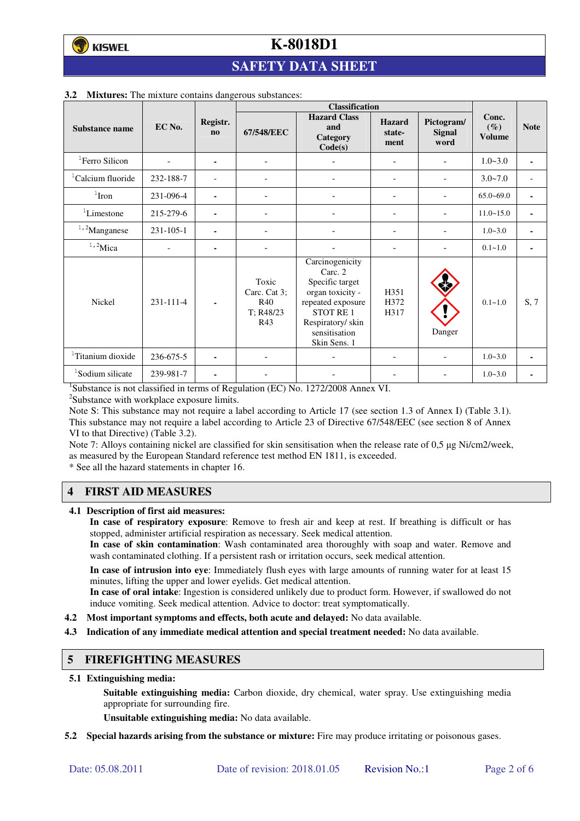# **SAFETY DATA SHEET**

|                               |           |                                    | <b>Classification</b>                            |                                                                                                                                                                |                                 |                              |                                  |                          |
|-------------------------------|-----------|------------------------------------|--------------------------------------------------|----------------------------------------------------------------------------------------------------------------------------------------------------------------|---------------------------------|------------------------------|----------------------------------|--------------------------|
| Substance name                | EC No.    | Registr.<br>$\mathbf{n}\mathbf{o}$ | 67/548/EEC                                       | <b>Hazard Class</b><br>and<br>Category<br>Code(s)                                                                                                              | <b>Hazard</b><br>state-<br>ment | Pictogram/<br>Signal<br>word | Conc.<br>$(\%)$<br><b>Volume</b> | <b>Note</b>              |
| <sup>1</sup> Ferro Silicon    |           | ۰                                  | $\overline{\phantom{a}}$                         |                                                                                                                                                                | Ξ.                              |                              | $1.0 - 3.0$                      | $\blacksquare$           |
| <sup>1</sup> Calcium fluoride | 232-188-7 |                                    |                                                  |                                                                                                                                                                | $\overline{a}$                  |                              | $3.0 - 7.0$                      | $\overline{\phantom{a}}$ |
| $1$ Iron                      | 231-096-4 | ۰                                  |                                                  |                                                                                                                                                                |                                 |                              | $65.0 - 69.0$                    | ٠                        |
| <sup>1</sup> Limestone        | 215-279-6 | ۰                                  | ٠                                                |                                                                                                                                                                | ۰                               |                              | $11.0 - 15.0$                    | ٠                        |
| $1,2$ Manganese               | 231-105-1 |                                    |                                                  |                                                                                                                                                                |                                 | ۰                            | $1.0 - 3.0$                      | $\blacksquare$           |
| $1,2$ Mica                    |           | ۰                                  |                                                  |                                                                                                                                                                |                                 |                              | $0.1 - 1.0$                      | ٠                        |
| Nickel                        | 231-111-4 |                                    | Toxic<br>Carc. Cat 3;<br>R40<br>T: R48/23<br>R43 | Carcinogenicity<br>Carc. 2<br>Specific target<br>organ toxicity -<br>repeated exposure<br><b>STOT RE1</b><br>Respiratory/skin<br>sensitisation<br>Skin Sens. 1 | H351<br>H372<br>H317            | Danger                       | $0.1 - 1.0$                      | S, 7                     |
| <sup>1</sup> Titanium dioxide | 236-675-5 |                                    |                                                  |                                                                                                                                                                |                                 |                              | $1.0 - 3.0$                      | $\blacksquare$           |
| <sup>1</sup> Sodium silicate  | 239-981-7 | ۰                                  |                                                  |                                                                                                                                                                |                                 |                              | $1.0 - 3.0$                      |                          |

#### **3.2 Mixtures:** The mixture contains dangerous substances:

<sup>1</sup>Substance is not classified in terms of Regulation (EC) No. 1272/2008 Annex VI.

<sup>2</sup>Substance with workplace exposure limits.

Note S: This substance may not require a label according to Article 17 (see section 1.3 of Annex I) (Table 3.1). This substance may not require a label according to Article 23 of Directive 67/548/EEC (see section 8 of Annex VI to that Directive) (Table 3.2).

Note 7: Alloys containing nickel are classified for skin sensitisation when the release rate of 0,5 µg Ni/cm2/week, as measured by the European Standard reference test method EN 1811, is exceeded.

\* See all the hazard statements in chapter 16.

## **4 FIRST AID MEASURES**

**4.1 Description of first aid measures:** 

**In case of respiratory exposure**: Remove to fresh air and keep at rest. If breathing is difficult or has stopped, administer artificial respiration as necessary. Seek medical attention.

**In case of skin contamination**: Wash contaminated area thoroughly with soap and water. Remove and wash contaminated clothing. If a persistent rash or irritation occurs, seek medical attention.

 **In case of intrusion into eye**: Immediately flush eyes with large amounts of running water for at least 15 minutes, lifting the upper and lower eyelids. Get medical attention.

**In case of oral intake**: Ingestion is considered unlikely due to product form. However, if swallowed do not induce vomiting. Seek medical attention. Advice to doctor: treat symptomatically.

- **4.2 Most important symptoms and effects, both acute and delayed:** No data available.
- **4.3 Indication of any immediate medical attention and special treatment needed:** No data available.

#### **5 FIREFIGHTING MEASURES**

**5.1 Extinguishing media:** 

**Suitable extinguishing media:** Carbon dioxide, dry chemical, water spray. Use extinguishing media appropriate for surrounding fire.

**Unsuitable extinguishing media:** No data available.

**5.2 Special hazards arising from the substance or mixture:** Fire may produce irritating or poisonous gases.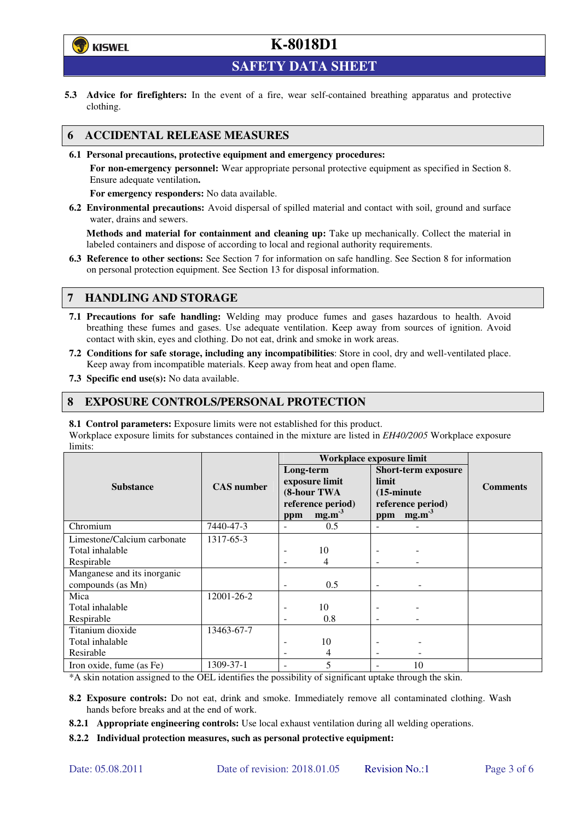

**SAFETY DATA SHEET** 

**5.3 Advice for firefighters:** In the event of a fire, wear self-contained breathing apparatus and protective clothing.

## **6 ACCIDENTAL RELEASE MEASURES**

**6.1 Personal precautions, protective equipment and emergency procedures:** 

**For non-emergency personnel:** Wear appropriate personal protective equipment as specified in Section 8. Ensure adequate ventilation**.** 

**For emergency responders:** No data available.

**6.2 Environmental precautions:** Avoid dispersal of spilled material and contact with soil, ground and surface water, drains and sewers.

**Methods and material for containment and cleaning up:** Take up mechanically. Collect the material in labeled containers and dispose of according to local and regional authority requirements.

**6.3 Reference to other sections:** See Section 7 for information on safe handling. See Section 8 for information on personal protection equipment. See Section 13 for disposal information.

### **7 HANDLING AND STORAGE**

- **7.1 Precautions for safe handling:** Welding may produce fumes and gases hazardous to health. Avoid breathing these fumes and gases. Use adequate ventilation. Keep away from sources of ignition. Avoid contact with skin, eyes and clothing. Do not eat, drink and smoke in work areas.
- **7.2 Conditions for safe storage, including any incompatibilities**: Store in cool, dry and well-ventilated place. Keep away from incompatible materials. Keep away from heat and open flame.
- **7.3 Specific end use(s):** No data available.

### **8 EXPOSURE CONTROLS/PERSONAL PROTECTION**

**8.1 Control parameters:** Exposure limits were not established for this product.

Workplace exposure limits for substances contained in the mixture are listed in *EH40/2005* Workplace exposure limits:

|                             | <b>CAS</b> number | Workplace exposure limit                   |                   |                                                             |                   |                 |  |
|-----------------------------|-------------------|--------------------------------------------|-------------------|-------------------------------------------------------------|-------------------|-----------------|--|
|                             |                   | Long-term<br>exposure limit<br>(8-hour TWA |                   | <b>Short-term exposure</b><br>limit<br>$(15\text{-minute})$ |                   | <b>Comments</b> |  |
| <b>Substance</b>            |                   |                                            |                   |                                                             |                   |                 |  |
|                             |                   |                                            |                   |                                                             |                   |                 |  |
|                             |                   |                                            | reference period) |                                                             | reference period) |                 |  |
|                             |                   | ppm                                        | mg.m <sup>3</sup> | ppm                                                         | mg.m <sup>3</sup> |                 |  |
| Chromium                    | 7440-47-3         |                                            | 0.5               |                                                             |                   |                 |  |
| Limestone/Calcium carbonate | 1317-65-3         |                                            |                   |                                                             |                   |                 |  |
| Total inhalable             |                   |                                            | 10                |                                                             |                   |                 |  |
| Respirable                  |                   |                                            | 4                 |                                                             |                   |                 |  |
| Manganese and its inorganic |                   |                                            |                   |                                                             |                   |                 |  |
| compounds (as Mn)           |                   |                                            | 0.5               |                                                             |                   |                 |  |
| Mica                        | 12001-26-2        |                                            |                   |                                                             |                   |                 |  |
| Total inhalable             |                   |                                            | 10                |                                                             |                   |                 |  |
| Respirable                  |                   |                                            | 0.8               |                                                             |                   |                 |  |
| Titanium dioxide            | 13463-67-7        |                                            |                   |                                                             |                   |                 |  |
| Total inhalable             |                   |                                            | 10                |                                                             |                   |                 |  |
| Resirable                   |                   |                                            | 4                 | $\overline{\phantom{a}}$                                    |                   |                 |  |
| Iron oxide, fume (as Fe)    | 1309-37-1         |                                            | 5                 |                                                             | 10                |                 |  |

\*A skin notation assigned to the OEL identifies the possibility of significant uptake through the skin.

- **8.2 Exposure controls:** Do not eat, drink and smoke. Immediately remove all contaminated clothing. Wash hands before breaks and at the end of work.
- **8.2.1 Appropriate engineering controls:** Use local exhaust ventilation during all welding operations.

**8.2.2 Individual protection measures, such as personal protective equipment:**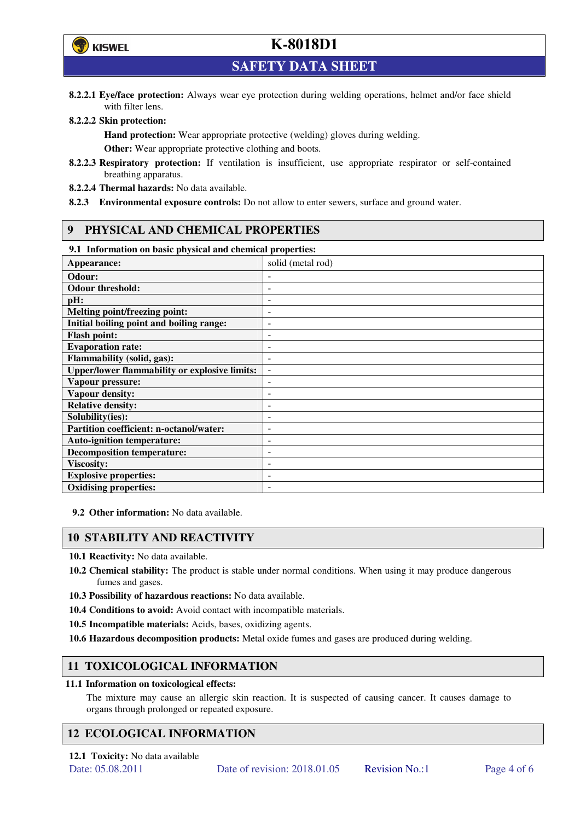

**SAFETY DATA SHEET** 

**8.2.2.1 Eye/face protection:** Always wear eye protection during welding operations, helmet and/or face shield with filter lens.

#### **8.2.2.2 Skin protection:**

**Hand protection:** Wear appropriate protective (welding) gloves during welding. **Other:** Wear appropriate protective clothing and boots.

- **8.2.2.3 Respiratory protection:** If ventilation is insufficient, use appropriate respirator or self-contained breathing apparatus.
- **8.2.2.4 Thermal hazards:** No data available.
- **8.2.3 Environmental exposure controls:** Do not allow to enter sewers, surface and ground water.

### **9 PHYSICAL AND CHEMICAL PROPERTIES**

#### **9.1 Information on basic physical and chemical properties:**

| эт тигериштери он ошис рнужки ини сисписит ргорегием |                          |
|------------------------------------------------------|--------------------------|
| Appearance:                                          | solid (metal rod)        |
| Odour:                                               |                          |
| <b>Odour threshold:</b>                              |                          |
| pH:                                                  |                          |
| <b>Melting point/freezing point:</b>                 | -                        |
| Initial boiling point and boiling range:             | $\overline{a}$           |
| <b>Flash point:</b>                                  |                          |
| <b>Evaporation rate:</b>                             |                          |
| <b>Flammability (solid, gas):</b>                    |                          |
| <b>Upper/lower flammability or explosive limits:</b> | $\overline{\phantom{a}}$ |
| Vapour pressure:                                     | ۰                        |
| Vapour density:                                      |                          |
| <b>Relative density:</b>                             |                          |
| Solubility(ies):                                     |                          |
| Partition coefficient: n-octanol/water:              | $\overline{a}$           |
| <b>Auto-ignition temperature:</b>                    | ۰                        |
| <b>Decomposition temperature:</b>                    |                          |
| <b>Viscosity:</b>                                    |                          |
| <b>Explosive properties:</b>                         | ٠                        |
| <b>Oxidising properties:</b>                         | -                        |
|                                                      |                          |

**9.2 Other information:** No data available.

### **10 STABILITY AND REACTIVITY**

**10.1 Reactivity:** No data available.

- **10.2 Chemical stability:** The product is stable under normal conditions. When using it may produce dangerous fumes and gases.
- **10.3 Possibility of hazardous reactions:** No data available.
- **10.4 Conditions to avoid:** Avoid contact with incompatible materials.
- **10.5 Incompatible materials:** Acids, bases, oxidizing agents.
- **10.6 Hazardous decomposition products:** Metal oxide fumes and gases are produced during welding.

## **11 TOXICOLOGICAL INFORMATION**

#### **11.1 Information on toxicological effects:**

The mixture may cause an allergic skin reaction. It is suspected of causing cancer. It causes damage to organs through prolonged or repeated exposure.

## **12 ECOLOGICAL INFORMATION**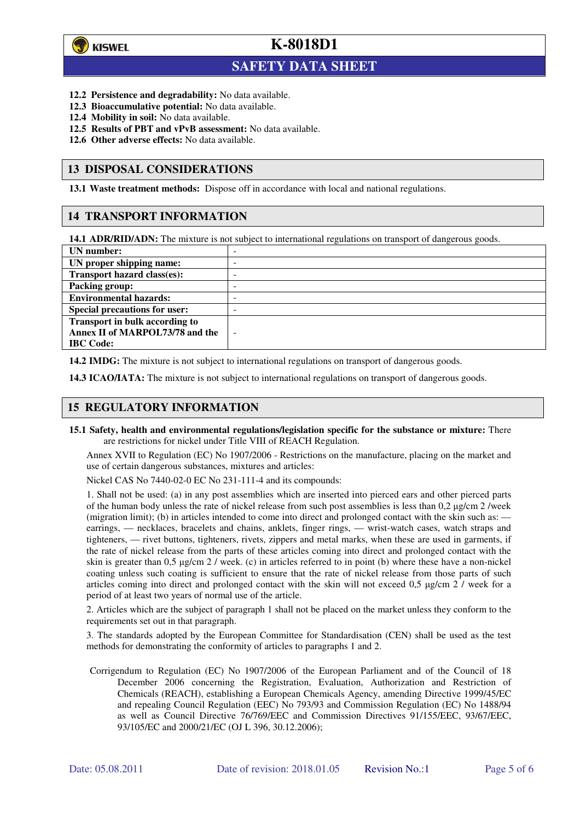

 $\overline{a}$ 

# **K-8018D1**

## **SAFETY DATA SHEET**

- **12.2 Persistence and degradability:** No data available.
- **12.3 Bioaccumulative potential:** No data available.
- **12.4 Mobility in soil:** No data available.
- **12.5 Results of PBT and vPvB assessment:** No data available.
- **12.6 Other adverse effects:** No data available.

### **13 DISPOSAL CONSIDERATIONS**

**13.1 Waste treatment methods:** Dispose off in accordance with local and national regulations.

### **14 TRANSPORT INFORMATION**

**14.1 ADR/RID/ADN:** The mixture is not subject to international regulations on transport of dangerous goods.

| UN number:                            | - |
|---------------------------------------|---|
| UN proper shipping name:              | - |
| Transport hazard class(es):           | - |
| <b>Packing group:</b>                 | - |
| <b>Environmental hazards:</b>         | - |
| <b>Special precautions for user:</b>  | - |
| <b>Transport in bulk according to</b> |   |
| Annex II of MARPOL73/78 and the       | - |
| <b>IBC</b> Code:                      |   |

**14.2 IMDG:** The mixture is not subject to international regulations on transport of dangerous goods.

**14.3 ICAO/IATA:** The mixture is not subject to international regulations on transport of dangerous goods.

### **15 REGULATORY INFORMATION**

**15.1 Safety, health and environmental regulations/legislation specific for the substance or mixture:** There are restrictions for nickel under Title VIII of REACH Regulation.

Annex XVII to Regulation (EC) No 1907/2006 - Restrictions on the manufacture, placing on the market and use of certain dangerous substances, mixtures and articles:

Nickel CAS No 7440-02-0 EC No 231-111-4 and its compounds:

1. Shall not be used: (a) in any post assemblies which are inserted into pierced ears and other pierced parts of the human body unless the rate of nickel release from such post assemblies is less than  $0.2 \mu$ g/cm  $2$ /week (migration limit); (b) in articles intended to come into direct and prolonged contact with the skin such as: earrings, — necklaces, bracelets and chains, anklets, finger rings, — wrist-watch cases, watch straps and tighteners, — rivet buttons, tighteners, rivets, zippers and metal marks, when these are used in garments, if the rate of nickel release from the parts of these articles coming into direct and prolonged contact with the skin is greater than 0,5 µg/cm 2 / week. (c) in articles referred to in point (b) where these have a non-nickel coating unless such coating is sufficient to ensure that the rate of nickel release from those parts of such articles coming into direct and prolonged contact with the skin will not exceed 0,5 µg/cm 2 / week for a period of at least two years of normal use of the article.

2. Articles which are the subject of paragraph 1 shall not be placed on the market unless they conform to the requirements set out in that paragraph.

3. The standards adopted by the European Committee for Standardisation (CEN) shall be used as the test methods for demonstrating the conformity of articles to paragraphs 1 and 2.

Corrigendum to Regulation (EC) No 1907/2006 of the European Parliament and of the Council of 18 December 2006 concerning the Registration, Evaluation, Authorization and Restriction of Chemicals (REACH), establishing a European Chemicals Agency, amending Directive 1999/45/EC and repealing Council Regulation (EEC) No 793/93 and Commission Regulation (EC) No 1488/94 as well as Council Directive 76/769/EEC and Commission Directives 91/155/EEC, 93/67/EEC, 93/105/EC and 2000/21/EC (OJ L 396, 30.12.2006);